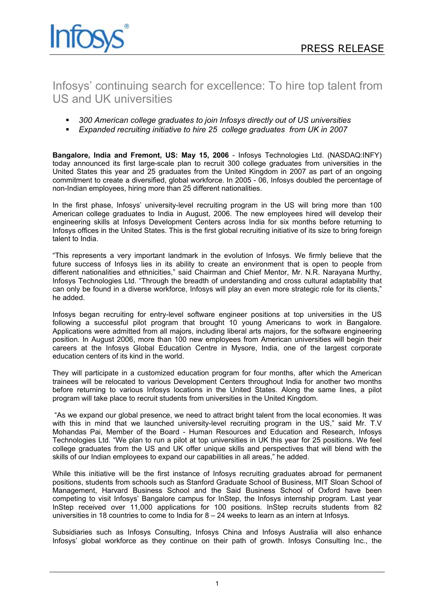

# Infosys' continuing search for excellence: To hire top talent from US and UK universities

- *300 American college graduates to join Infosys directly out of US universities*
- *Expanded recruiting initiative to hire 25 college graduates from UK in 2007*

**Bangalore, India and Fremont, US: May 15, 2006** - Infosys Technologies Ltd. (NASDAQ:INFY) today announced its first large-scale plan to recruit 300 college graduates from universities in the United States this year and 25 graduates from the United Kingdom in 2007 as part of an ongoing commitment to create a diversified, global workforce. In 2005 - 06, Infosys doubled the percentage of non-Indian employees, hiring more than 25 different nationalities.

In the first phase, Infosys' university-level recruiting program in the US will bring more than 100 American college graduates to India in August, 2006. The new employees hired will develop their engineering skills at Infosys Development Centers across India for six months before returning to Infosys offices in the United States. This is the first global recruiting initiative of its size to bring foreign talent to India.

"This represents a very important landmark in the evolution of Infosys. We firmly believe that the future success of Infosys lies in its ability to create an environment that is open to people from different nationalities and ethnicities," said Chairman and Chief Mentor, Mr. N.R. Narayana Murthy, Infosys Technologies Ltd. "Through the breadth of understanding and cross cultural adaptability that can only be found in a diverse workforce, Infosys will play an even more strategic role for its clients," he added.

Infosys began recruiting for entry-level software engineer positions at top universities in the US following a successful pilot program that brought 10 young Americans to work in Bangalore. Applications were admitted from all majors, including liberal arts majors, for the software engineering position. In August 2006, more than 100 new employees from American universities will begin their careers at the Infosys Global Education Centre in Mysore, India, one of the largest corporate education centers of its kind in the world.

They will participate in a customized education program for four months, after which the American trainees will be relocated to various Development Centers throughout India for another two months before returning to various Infosys locations in the United States. Along the same lines, a pilot program will take place to recruit students from universities in the United Kingdom.

"As we expand our global presence, we need to attract bright talent from the local economies. It was with this in mind that we launched university-level recruiting program in the US," said Mr. T.V Mohandas Pai, Member of the Board - Human Resources and Education and Research, Infosys Technologies Ltd. "We plan to run a pilot at top universities in UK this year for 25 positions. We feel college graduates from the US and UK offer unique skills and perspectives that will blend with the skills of our Indian employees to expand our capabilities in all areas," he added.

While this initiative will be the first instance of Infosys recruiting graduates abroad for permanent positions, students from schools such as Stanford Graduate School of Business, MIT Sloan School of Management, Harvard Business School and the Said Business School of Oxford have been competing to visit Infosys' Bangalore campus for InStep, the Infosys internship program. Last year InStep received over 11,000 applications for 100 positions. InStep recruits students from 82 universities in 18 countries to come to India for  $8 - 24$  weeks to learn as an intern at Infosys.

Subsidiaries such as Infosys Consulting, Infosys China and Infosys Australia will also enhance Infosys' global workforce as they continue on their path of growth. Infosys Consulting Inc., the